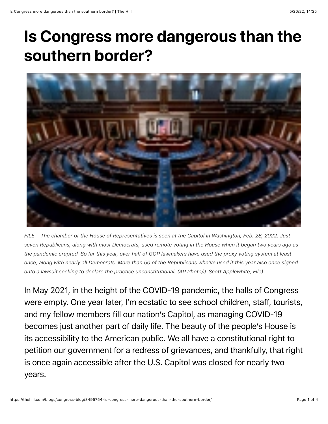## Is Congress more dangerous than the southern border?



*FILE – The chamber of the House of Representatives is seen at the Capitol in Washington, Feb. 28, 2022. Just seven Republicans, along with most Democrats, used remote voting in the House when it began two years ago as the pandemic erupted. So far this year, over half of GOP lawmakers have used the proxy voting system at least once, along with nearly all Democrats. More than 50 of the Republicans who've used it this year also once signed onto a lawsuit seeking to declare the practice unconstitutional. (AP Photo/J. Scott Applewhite, File)*

In May 2021, in the height of the COVID-19 pandemic, the halls of Congress were empty. One year later, I'm ecstatic to see school children, staff, tourists, and my fellow members fill our nation's Capitol, as managing COVID-19 becomes just another part of daily life. The beauty of the people's House is its accessibility to the American public. We all have a constitutional right to petition our government for a redress of grievances, and thankfully, that right is once again accessible after the U.S. Capitol was closed for nearly two years.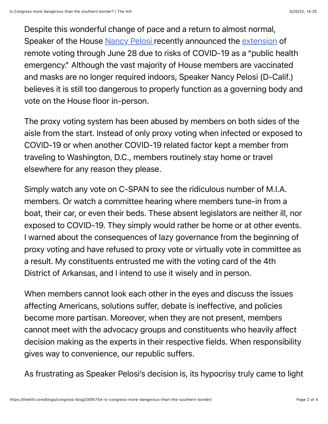Despite this wonderful change of pace and a return to almost normal, Speaker of the House [Nancy Pelosi r](https://thehill.com/people/nancy-pelosi/)ecently announced the [extension](https://www.speaker.gov/newsroom/51322-0) of remote voting through June 28 due to risks of COVID-19 as a "public health emergency." Although the vast majority of House members are vaccinated and masks are no longer required indoors, Speaker Nancy Pelosi (D-Calif.) believes it is still too dangerous to properly function as a governing body and vote on the House floor in-person.

The proxy voting system has been abused by members on both sides of the aisle from the start. Instead of only proxy voting when infected or exposed to COVID-19 or when another COVID-19 related factor kept a member from traveling to Washington, D.C., members routinely stay home or travel elsewhere for any reason they please.

Simply watch any vote on C-SPAN to see the ridiculous number of M.I.A. members. Or watch a committee hearing where members tune-in from a boat, their car, or even their beds. These absent legislators are neither ill, nor exposed to COVID-19. They simply would rather be home or at other events. I warned about the consequences of lazy governance from the beginning of proxy voting and have refused to proxy vote or virtually vote in committee as a result. My constituents entrusted me with the voting card of the 4th District of Arkansas, and I intend to use it wisely and in person.

When members cannot look each other in the eyes and discuss the issues affecting Americans, solutions suffer, debate is ineffective, and policies become more partisan. Moreover, when they are not present, members cannot meet with the advocacy groups and constituents who heavily affect decision making as the experts in their respective fields. When responsibility gives way to convenience, our republic suffers.

As frustrating as Speaker Pelosi's decision is, its hypocrisy truly came to light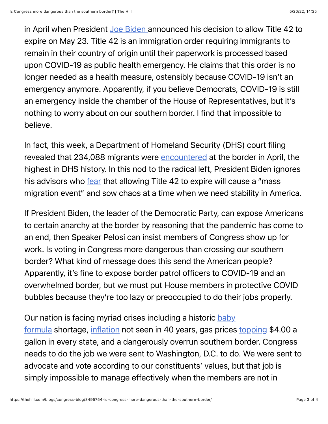in April when President [Joe Biden](https://thehill.com/people/joe-biden/) announced his decision to allow Title 42 to expire on May 23. Title 42 is an immigration order requiring immigrants to remain in their country of origin until their paperwork is processed based upon COVID-19 as public health emergency. He claims that this order is no longer needed as a health measure, ostensibly because COVID-19 isn't an emergency anymore. Apparently, if you believe Democrats, COVID-19 is still an emergency inside the chamber of the House of Representatives, but it's nothing to worry about on our southern border. I find that impossible to believe.

In fact, this week, a Department of Homeland Security (DHS) court filing revealed that 234,088 migrants were [encountered](https://www.washingtonexaminer.com/restoring-america/fairness-justice/234-088-migrants-encountered-at-southern-border-in-april-most-in-a-century) at the border in April, the highest in DHS history. In this nod to the radical left, President Biden ignores his advisors who [fear](https://www.washingtonexaminer.com/policy/biden-team-fears-mass-migration-event-from-axing-trump-pandemic-expulsion-rule) that allowing Title 42 to expire will cause a "mass" migration event" and sow chaos at a time when we need stability in America.

If President Biden, the leader of the Democratic Party, can expose Americans to certain anarchy at the border by reasoning that the pandemic has come to an end, then Speaker Pelosi can insist members of Congress show up for work. Is voting in Congress more dangerous than crossing our southern border? What kind of message does this send the American people? Apparently, it's fine to expose border patrol officers to COVID-19 and an overwhelmed border, but we must put House members in protective COVID bubbles because they're too lazy or preoccupied to do their jobs properly.

## [Our nation is facing myriad crises including a historic baby](https://www.wsj.com/articles/who-made-the-baby-formula-shortage-biden-administration-abbott-tariffs-nestle-11652480538?mod=hp_opin_pos_6)

formula shortage, [inflation](https://www.cnbc.com/2022/04/12/consumer-prices-rose-8point5percent-in-march-slightly-hotter-than-expected.html) not seen in 40 years, gas prices [topping](https://www.bloomberg.com/news/articles/2022-05-17/gasoline-tops-4-a-gallon-in-every-us-state-for-the-first-time) \$4.00 a gallon in every state, and a dangerously overrun southern border. Congress needs to do the job we were sent to Washington, D.C. to do. We were sent to advocate and vote according to our constituents' values, but that job is simply impossible to manage effectively when the members are not in